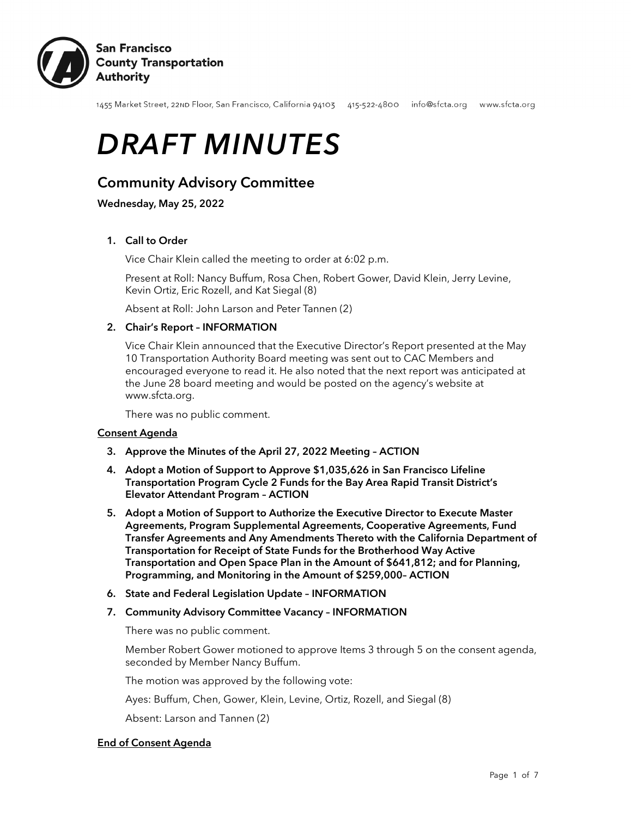

1455 Market Street, 22ND Floor, San Francisco, California 94103 415-522-4800 info@sfcta.org www.sfcta.org

# *DRAFT MINUTES*

# Community Advisory Committee

Wednesday, May 25, 2022

# 1. Call to Order

Vice Chair Klein called the meeting to order at 6:02 p.m.

Present at Roll: Nancy Buffum, Rosa Chen, Robert Gower, David Klein, Jerry Levine, Kevin Ortiz, Eric Rozell, and Kat Siegal (8)

Absent at Roll: John Larson and Peter Tannen (2)

# 2. Chair's Report – INFORMATION

Vice Chair Klein announced that the Executive Director's Report presented at the May 10 Transportation Authority Board meeting was sent out to CAC Members and encouraged everyone to read it. He also noted that the next report was anticipated at the June 28 board meeting and would be posted on the agency's website at www.sfcta.org.

There was no public comment.

#### Consent Agenda

- 3. Approve the Minutes of the April 27, 2022 Meeting ACTION
- 4. Adopt a Motion of Support to Approve \$1,035,626 in San Francisco Lifeline Transportation Program Cycle 2 Funds for the Bay Area Rapid Transit District's Elevator Attendant Program – ACTION
- 5. Adopt a Motion of Support to Authorize the Executive Director to Execute Master Agreements, Program Supplemental Agreements, Cooperative Agreements, Fund Transfer Agreements and Any Amendments Thereto with the California Department of Transportation for Receipt of State Funds for the Brotherhood Way Active Transportation and Open Space Plan in the Amount of \$641,812; and for Planning, Programming, and Monitoring in the Amount of \$259,000– ACTION
- 6. State and Federal Legislation Update INFORMATION
- 7. Community Advisory Committee Vacancy INFORMATION

There was no public comment.

Member Robert Gower motioned to approve Items 3 through 5 on the consent agenda, seconded by Member Nancy Buffum.

The motion was approved by the following vote:

Ayes: Buffum, Chen, Gower, Klein, Levine, Ortiz, Rozell, and Siegal (8)

Absent: Larson and Tannen (2)

# End of Consent Agenda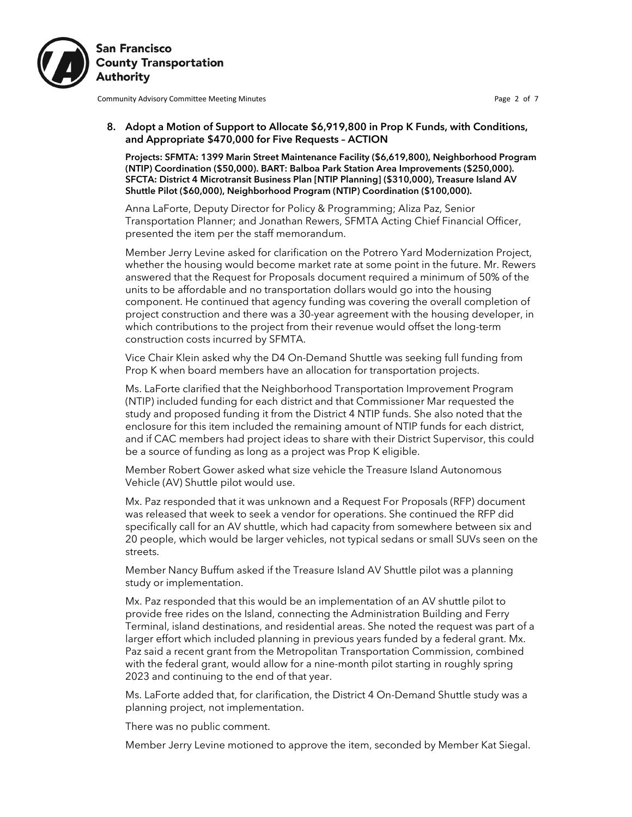

Community Advisory Committee Meeting Minutes **Page 2 of 7** and 2008 and 2008 and 2008 and 2008 and 2008 and 2008 and 2008 and 2008 and 2008 and 2008 and 2008 and 2008 and 2008 and 2008 and 2008 and 2008 and 2008 and 2008 a

#### 8. Adopt a Motion of Support to Allocate \$6,919,800 in Prop K Funds, with Conditions, and Appropriate \$470,000 for Five Requests – ACTION

Projects: SFMTA: 1399 Marin Street Maintenance Facility (\$6,619,800), Neighborhood Program (NTIP) Coordination (\$50,000). BART: Balboa Park Station Area Improvements (\$250,000). SFCTA: District 4 Microtransit Business Plan [NTIP Planning] (\$310,000), Treasure Island AV Shuttle Pilot (\$60,000), Neighborhood Program (NTIP) Coordination (\$100,000).

Anna LaForte, Deputy Director for Policy & Programming; Aliza Paz, Senior Transportation Planner; and Jonathan Rewers, SFMTA Acting Chief Financial Officer, presented the item per the staff memorandum.

Member Jerry Levine asked for clarification on the Potrero Yard Modernization Project, whether the housing would become market rate at some point in the future. Mr. Rewers answered that the Request for Proposals document required a minimum of 50% of the units to be affordable and no transportation dollars would go into the housing component. He continued that agency funding was covering the overall completion of project construction and there was a 30-year agreement with the housing developer, in which contributions to the project from their revenue would offset the long-term construction costs incurred by SFMTA.

Vice Chair Klein asked why the D4 On-Demand Shuttle was seeking full funding from Prop K when board members have an allocation for transportation projects.

Ms. LaForte clarified that the Neighborhood Transportation Improvement Program (NTIP) included funding for each district and that Commissioner Mar requested the study and proposed funding it from the District 4 NTIP funds. She also noted that the enclosure for this item included the remaining amount of NTIP funds for each district, and if CAC members had project ideas to share with their District Supervisor, this could be a source of funding as long as a project was Prop K eligible.

Member Robert Gower asked what size vehicle the Treasure Island Autonomous Vehicle (AV) Shuttle pilot would use.

Mx. Paz responded that it was unknown and a Request For Proposals (RFP) document was released that week to seek a vendor for operations. She continued the RFP did specifically call for an AV shuttle, which had capacity from somewhere between six and 20 people, which would be larger vehicles, not typical sedans or small SUVs seen on the streets.

Member Nancy Buffum asked if the Treasure Island AV Shuttle pilot was a planning study or implementation.

Mx. Paz responded that this would be an implementation of an AV shuttle pilot to provide free rides on the Island, connecting the Administration Building and Ferry Terminal, island destinations, and residential areas. She noted the request was part of a larger effort which included planning in previous years funded by a federal grant. Mx. Paz said a recent grant from the Metropolitan Transportation Commission, combined with the federal grant, would allow for a nine-month pilot starting in roughly spring 2023 and continuing to the end of that year.

Ms. LaForte added that, for clarification, the District 4 On-Demand Shuttle study was a planning project, not implementation.

There was no public comment.

Member Jerry Levine motioned to approve the item, seconded by Member Kat Siegal.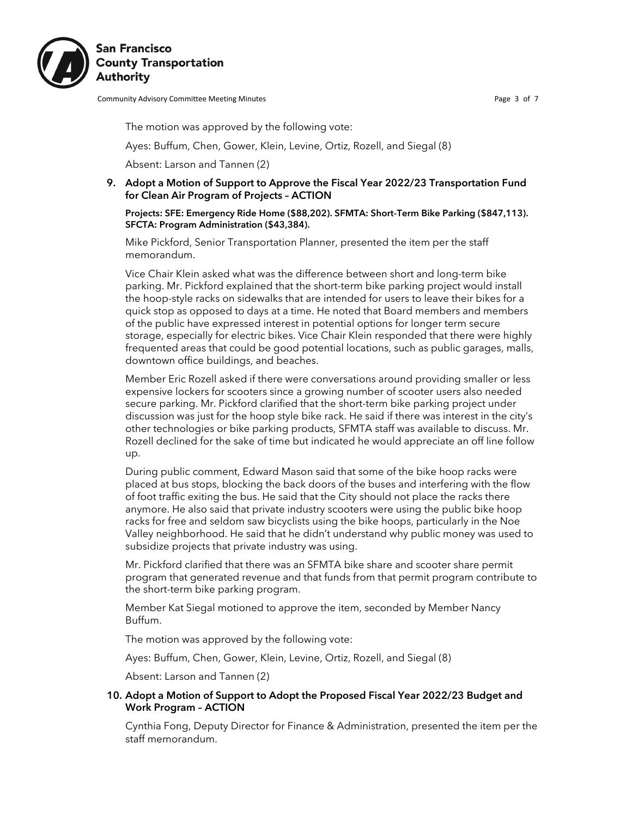

Community Advisory Committee Meeting Minutes **Page 3 of 7** and 2011 11 and 2012 12:30 and 2013

The motion was approved by the following vote:

Ayes: Buffum, Chen, Gower, Klein, Levine, Ortiz, Rozell, and Siegal (8)

Absent: Larson and Tannen (2)

9. Adopt a Motion of Support to Approve the Fiscal Year 2022/23 Transportation Fund for Clean Air Program of Projects – ACTION

Projects: SFE: Emergency Ride Home (\$88,202). SFMTA: Short-Term Bike Parking (\$847,113). SFCTA: Program Administration (\$43,384).

Mike Pickford, Senior Transportation Planner, presented the item per the staff memorandum.

Vice Chair Klein asked what was the difference between short and long-term bike parking. Mr. Pickford explained that the short-term bike parking project would install the hoop-style racks on sidewalks that are intended for users to leave their bikes for a quick stop as opposed to days at a time. He noted that Board members and members of the public have expressed interest in potential options for longer term secure storage, especially for electric bikes. Vice Chair Klein responded that there were highly frequented areas that could be good potential locations, such as public garages, malls, downtown office buildings, and beaches.

Member Eric Rozell asked if there were conversations around providing smaller or less expensive lockers for scooters since a growing number of scooter users also needed secure parking. Mr. Pickford clarified that the short-term bike parking project under discussion was just for the hoop style bike rack. He said if there was interest in the city's other technologies or bike parking products, SFMTA staff was available to discuss. Mr. Rozell declined for the sake of time but indicated he would appreciate an off line follow up.

During public comment, Edward Mason said that some of the bike hoop racks were placed at bus stops, blocking the back doors of the buses and interfering with the flow of foot traffic exiting the bus. He said that the City should not place the racks there anymore. He also said that private industry scooters were using the public bike hoop racks for free and seldom saw bicyclists using the bike hoops, particularly in the Noe Valley neighborhood. He said that he didn't understand why public money was used to subsidize projects that private industry was using.

Mr. Pickford clarified that there was an SFMTA bike share and scooter share permit program that generated revenue and that funds from that permit program contribute to the short-term bike parking program.

Member Kat Siegal motioned to approve the item, seconded by Member Nancy Buffum.

The motion was approved by the following vote:

Ayes: Buffum, Chen, Gower, Klein, Levine, Ortiz, Rozell, and Siegal (8)

Absent: Larson and Tannen (2)

#### 10. Adopt a Motion of Support to Adopt the Proposed Fiscal Year 2022/23 Budget and Work Program – ACTION

Cynthia Fong, Deputy Director for Finance & Administration, presented the item per the staff memorandum.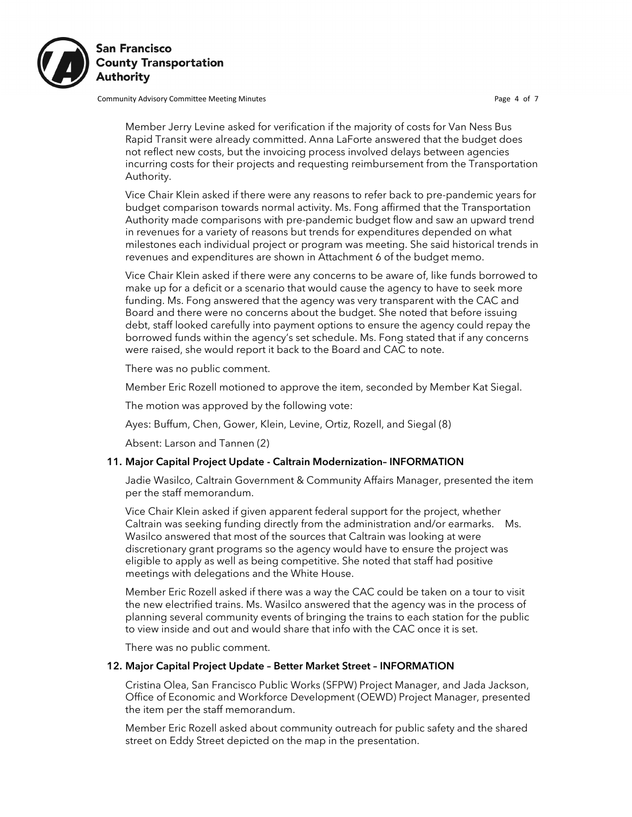

Community Advisory Committee Meeting Minutes **Page 4 of 7** and 2011 11 and 2012 12:30 For Page 4 of 7

Member Jerry Levine asked for verification if the majority of costs for Van Ness Bus Rapid Transit were already committed. Anna LaForte answered that the budget does not reflect new costs, but the invoicing process involved delays between agencies incurring costs for their projects and requesting reimbursement from the Transportation Authority.

Vice Chair Klein asked if there were any reasons to refer back to pre-pandemic years for budget comparison towards normal activity. Ms. Fong affirmed that the Transportation Authority made comparisons with pre-pandemic budget flow and saw an upward trend in revenues for a variety of reasons but trends for expenditures depended on what milestones each individual project or program was meeting. She said historical trends in revenues and expenditures are shown in Attachment 6 of the budget memo.

Vice Chair Klein asked if there were any concerns to be aware of, like funds borrowed to make up for a deficit or a scenario that would cause the agency to have to seek more funding. Ms. Fong answered that the agency was very transparent with the CAC and Board and there were no concerns about the budget. She noted that before issuing debt, staff looked carefully into payment options to ensure the agency could repay the borrowed funds within the agency's set schedule. Ms. Fong stated that if any concerns were raised, she would report it back to the Board and CAC to note.

There was no public comment.

Member Eric Rozell motioned to approve the item, seconded by Member Kat Siegal.

The motion was approved by the following vote:

Ayes: Buffum, Chen, Gower, Klein, Levine, Ortiz, Rozell, and Siegal (8)

Absent: Larson and Tannen (2)

#### 11. Major Capital Project Update - Caltrain Modernization– INFORMATION

Jadie Wasilco, Caltrain Government & Community Affairs Manager, presented the item per the staff memorandum.

Vice Chair Klein asked if given apparent federal support for the project, whether Caltrain was seeking funding directly from the administration and/or earmarks. Ms. Wasilco answered that most of the sources that Caltrain was looking at were discretionary grant programs so the agency would have to ensure the project was eligible to apply as well as being competitive. She noted that staff had positive meetings with delegations and the White House.

Member Eric Rozell asked if there was a way the CAC could be taken on a tour to visit the new electrified trains. Ms. Wasilco answered that the agency was in the process of planning several community events of bringing the trains to each station for the public to view inside and out and would share that info with the CAC once it is set.

There was no public comment.

#### 12. Major Capital Project Update – Better Market Street – INFORMATION

Cristina Olea, San Francisco Public Works (SFPW) Project Manager, and Jada Jackson, Office of Economic and Workforce Development (OEWD) Project Manager, presented the item per the staff memorandum.

Member Eric Rozell asked about community outreach for public safety and the shared street on Eddy Street depicted on the map in the presentation.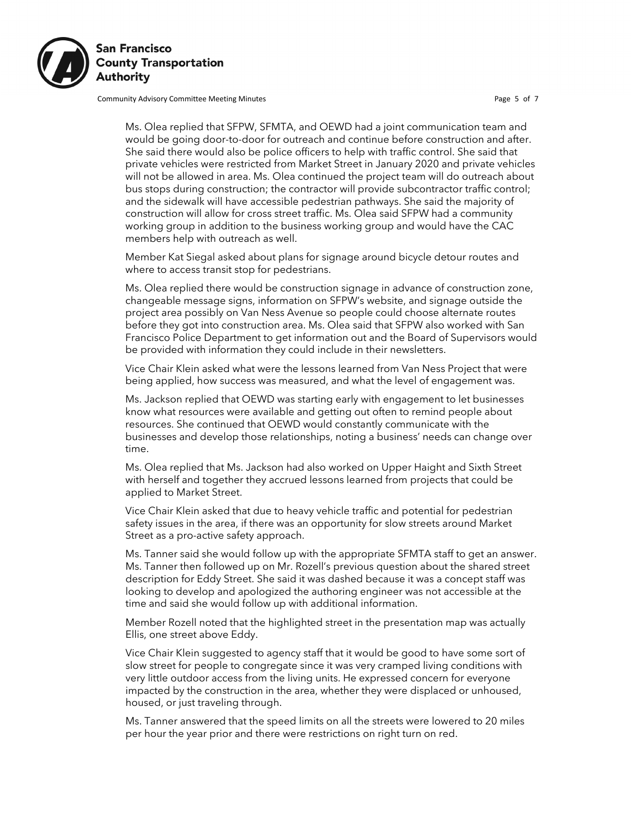

Community Advisory Committee Meeting Minutes **Page 5 of 7** and 2011 11 and 2012 12:30 FM and 2012 12:30 FM and 2013

Ms. Olea replied that SFPW, SFMTA, and OEWD had a joint communication team and would be going door-to-door for outreach and continue before construction and after. She said there would also be police officers to help with traffic control. She said that private vehicles were restricted from Market Street in January 2020 and private vehicles will not be allowed in area. Ms. Olea continued the project team will do outreach about bus stops during construction; the contractor will provide subcontractor traffic control; and the sidewalk will have accessible pedestrian pathways. She said the majority of construction will allow for cross street traffic. Ms. Olea said SFPW had a community working group in addition to the business working group and would have the CAC members help with outreach as well.

Member Kat Siegal asked about plans for signage around bicycle detour routes and where to access transit stop for pedestrians.

Ms. Olea replied there would be construction signage in advance of construction zone, changeable message signs, information on SFPW's website, and signage outside the project area possibly on Van Ness Avenue so people could choose alternate routes before they got into construction area. Ms. Olea said that SFPW also worked with San Francisco Police Department to get information out and the Board of Supervisors would be provided with information they could include in their newsletters.

Vice Chair Klein asked what were the lessons learned from Van Ness Project that were being applied, how success was measured, and what the level of engagement was.

Ms. Jackson replied that OEWD was starting early with engagement to let businesses know what resources were available and getting out often to remind people about resources. She continued that OEWD would constantly communicate with the businesses and develop those relationships, noting a business' needs can change over time.

Ms. Olea replied that Ms. Jackson had also worked on Upper Haight and Sixth Street with herself and together they accrued lessons learned from projects that could be applied to Market Street.

Vice Chair Klein asked that due to heavy vehicle traffic and potential for pedestrian safety issues in the area, if there was an opportunity for slow streets around Market Street as a pro-active safety approach.

Ms. Tanner said she would follow up with the appropriate SFMTA staff to get an answer. Ms. Tanner then followed up on Mr. Rozell's previous question about the shared street description for Eddy Street. She said it was dashed because it was a concept staff was looking to develop and apologized the authoring engineer was not accessible at the time and said she would follow up with additional information.

Member Rozell noted that the highlighted street in the presentation map was actually Ellis, one street above Eddy.

Vice Chair Klein suggested to agency staff that it would be good to have some sort of slow street for people to congregate since it was very cramped living conditions with very little outdoor access from the living units. He expressed concern for everyone impacted by the construction in the area, whether they were displaced or unhoused, housed, or just traveling through.

Ms. Tanner answered that the speed limits on all the streets were lowered to 20 miles per hour the year prior and there were restrictions on right turn on red.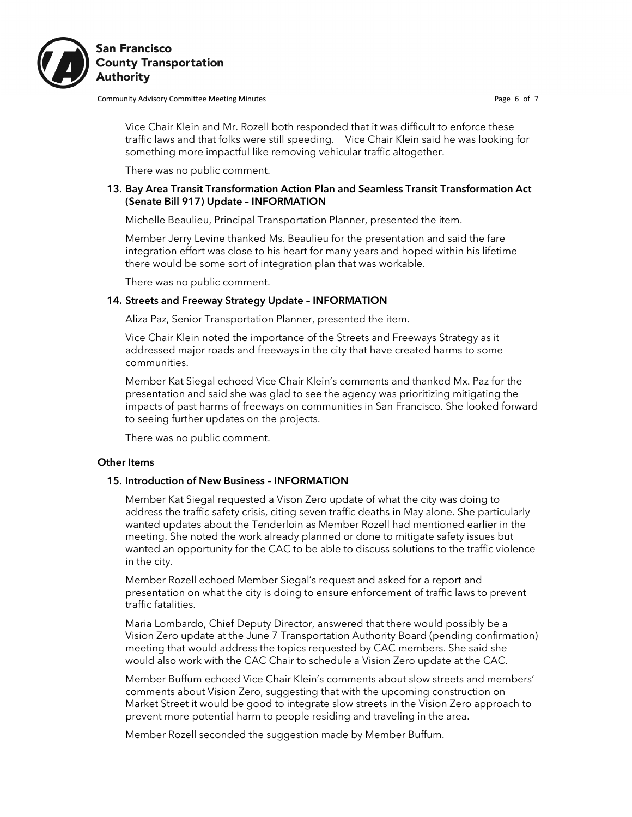

**San Francisco County Transportation Authority** 

Community Advisory Committee Meeting Minutes **Page 6 of 7** and 2011 11 and 2012 12:30 For Page 6 of 7

Vice Chair Klein and Mr. Rozell both responded that it was difficult to enforce these traffic laws and that folks were still speeding. Vice Chair Klein said he was looking for something more impactful like removing vehicular traffic altogether.

There was no public comment.

#### 13. Bay Area Transit Transformation Action Plan and Seamless Transit Transformation Act (Senate Bill 917) Update – INFORMATION

Michelle Beaulieu, Principal Transportation Planner, presented the item.

Member Jerry Levine thanked Ms. Beaulieu for the presentation and said the fare integration effort was close to his heart for many years and hoped within his lifetime there would be some sort of integration plan that was workable.

There was no public comment.

#### 14. Streets and Freeway Strategy Update – INFORMATION

Aliza Paz, Senior Transportation Planner, presented the item.

Vice Chair Klein noted the importance of the Streets and Freeways Strategy as it addressed major roads and freeways in the city that have created harms to some communities.

Member Kat Siegal echoed Vice Chair Klein's comments and thanked Mx. Paz for the presentation and said she was glad to see the agency was prioritizing mitigating the impacts of past harms of freeways on communities in San Francisco. She looked forward to seeing further updates on the projects.

There was no public comment.

#### **Other Items**

#### 15. Introduction of New Business – INFORMATION

Member Kat Siegal requested a Vison Zero update of what the city was doing to address the traffic safety crisis, citing seven traffic deaths in May alone. She particularly wanted updates about the Tenderloin as Member Rozell had mentioned earlier in the meeting. She noted the work already planned or done to mitigate safety issues but wanted an opportunity for the CAC to be able to discuss solutions to the traffic violence in the city.

Member Rozell echoed Member Siegal's request and asked for a report and presentation on what the city is doing to ensure enforcement of traffic laws to prevent traffic fatalities.

Maria Lombardo, Chief Deputy Director, answered that there would possibly be a Vision Zero update at the June 7 Transportation Authority Board (pending confirmation) meeting that would address the topics requested by CAC members. She said she would also work with the CAC Chair to schedule a Vision Zero update at the CAC.

Member Buffum echoed Vice Chair Klein's comments about slow streets and members' comments about Vision Zero, suggesting that with the upcoming construction on Market Street it would be good to integrate slow streets in the Vision Zero approach to prevent more potential harm to people residing and traveling in the area.

Member Rozell seconded the suggestion made by Member Buffum.